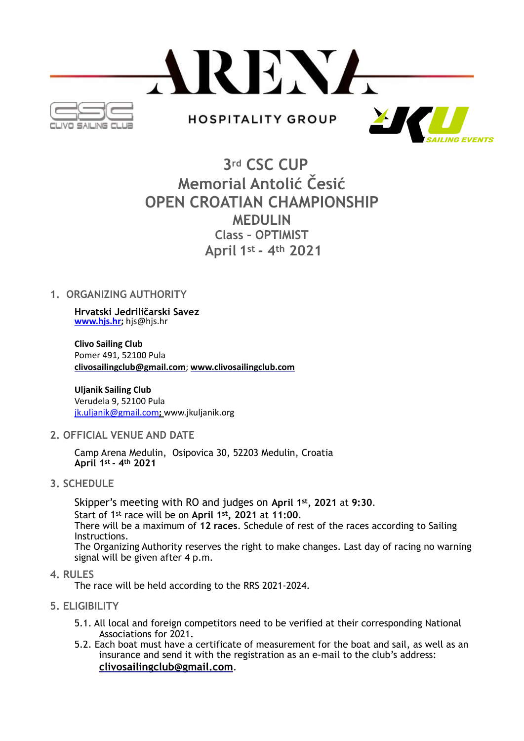

# **3rd CSC CUP Memorial Antolić Česić OPEN CROATIAN CHAMPIONSHIP MEDULIN Class – OPTIMIST April 1st - 4th 2021**

# **1. ORGANIZING AUTHORITY**

**Hrvatski Jedriličarski Savez [www.hjs.hr;](http://www.hjs.hr)** hjs@hjs.hr

**Clivo Sailing Club**  Pomer 491, 52100 Pula **[clivosailingclub@gmail.com](mailto:clivosailingclub@gmail.com)**; **[www.clivosailingclub.com](http://www.clivosailingclub.com/)**

**Uljanik Sailing Club** Verudela 9, 52100 Pula [jk.uljanik@gmail.com](mailto:jk.uljanik@gmail.com)**;** www.jkuljanik.org

**2. OFFICIAL VENUE AND DATE** 

 Camp Arena Medulin, Osipovica 30, 52203 Medulin, Croatia  **April 1st - 4th 2021**

**3. SCHEDULE** 

 Skipper's meeting with RO and judges on **April 1st, 2021** at **9:30**. Start of 1st race will be on **April 1st, 2021** at **11:00**. There will be a maximum of **12 races**. Schedule of rest of the races according to Sailing Instructions. The Organizing Authority reserves the right to make changes. Last day of racing no warning signal will be given after 4 p.m.

**4. RULES**

The race will be held according to the RRS 2021-2024.

- **5. ELIGIBILITY** 
	- 5.1. All local and foreign competitors need to be verified at their corresponding National Associations for 2021.
	- 5.2. Each boat must have a certificate of measurement for the boat and sail, as well as an insurance and send it with the registration as an e-mail to the club's address: **[clivosailingclub@gmail.com](mailto:clivosailingclub@gmail.com)**.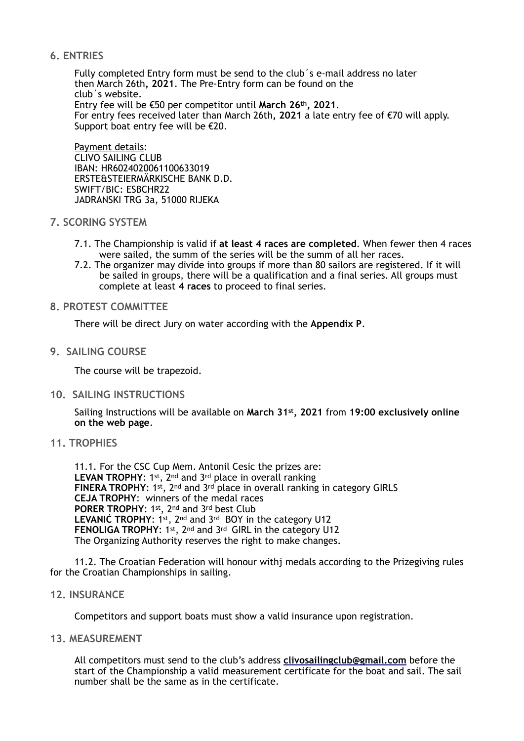# **6. ENTRIES**

 Fully completed Entry form must be send to the club´s e-mail address no later then March 26th**, 2021**. The Pre-Entry form can be found on the club´s website. Entry fee will be €50 per competitor until **March 26th, 2021**. For entry fees received later than March 26th**, 2021** a late entry fee of €70 will apply. Support boat entry fee will be  $E20$ .

Payment details: CLIVO SAILING CLUB IBAN: HR6024020061100633019 ERSTE&STEIERMÄRKISCHE BANK D.D. SWIFT/BIC: ESBCHR22 JADRANSKI TRG 3a, 51000 RIJEKA

# **7. SCORING SYSTEM**

- 7.1. The Championship is valid if **at least 4 races are completed**. When fewer then 4 races were sailed, the summ of the series will be the summ of all her races.
- 7.2. The organizer may divide into groups if more than 80 sailors are registered. If it will be sailed in groups, there will be a qualification and a final series. All groups must complete at least **4 races** to proceed to final series.

#### **8. PROTEST COMMITTEE**

There will be direct Jury on water according with the **Appendix P**.

# **9. SAILING COURSE**

The course will be trapezoid.

**10. SAILING INSTRUCTIONS** 

 Sailing Instructions will be available on **March 31st, 2021** from **19:00 exclusively online on the web page**.

# **11. TROPHIES**

11.1. For the CSC Cup Mem. Antonil Cesic the prizes are: **LEVAN TROPHY**: 1st, 2nd and 3rd place in overall ranking **FINERA TROPHY**: 1st, 2nd and 3rd place in overall ranking in category GIRLS **CEJA TROPHY**: winners of the medal races **PORER TROPHY**: 1st, 2nd and 3rd best Club **LEVANIĆ TROPHY**: 1st, 2nd and 3rd BOY in the category U12 **FENOLIGA TROPHY**: 1st, 2nd and 3rd GIRL in the category U12 The Organizing Authority reserves the right to make changes.

 11.2. The Croatian Federation will honour withj medals according to the Prizegiving rules for the Croatian Championships in sailing.

#### **12. INSURANCE**

Competitors and support boats must show a valid insurance upon registration.

**13. MEASUREMENT** 

 All competitors must send to the club's address **[clivosailingclub@gmail.com](mailto:clivosailingclub@gmail.com)** before the start of the Championship a valid measurement certificate for the boat and sail. The sail number shall be the same as in the certificate.